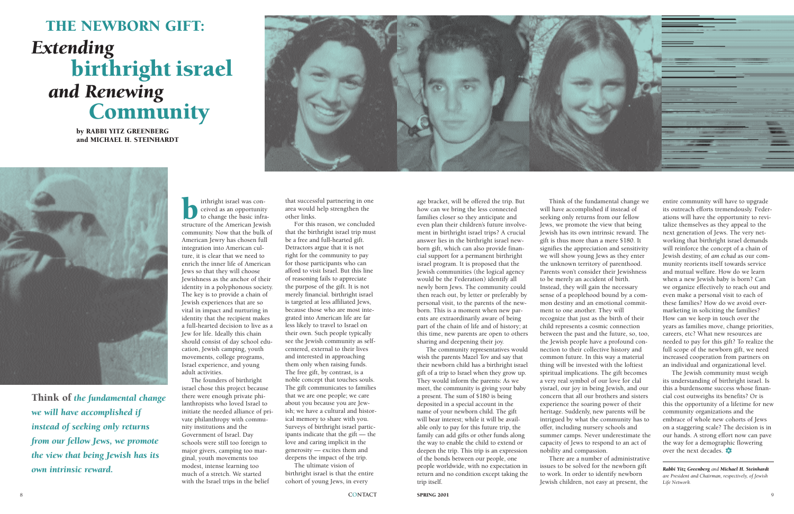## THE NEWBORN GIFT: *Extending*  birthright israel *and Renewing*  **Community**

by RABBI YITZ GREENBERG and MICHAEL H. STEINHARDT





Think of *the fundamental change we will have accomplished if instead of seeking only returns from our fellow Jews, we promote the view that being Jewish has its own intrinsic reward.*

Internation and the structure of the American Jewish structure of the American Jewish ceived as an opportunity to change the basic infracommunity. Now that the bulk of American Jewry has chosen full integration into American culture, it is clear that we need to enrich the inner life of American Jews so that they will choose Jewishness as the anchor of their identity in a polyphonous society. The key is to provide a chain of Jewish experiences that are so vital in impact and nurturing in identity that the recipient makes a full-hearted decision to live as a Jew for life. Ideally this chain should consist of day school education, Jewish camping, youth movements, college programs, Israel experience, and young adult activities.

The founders of birthright israel chose this project because there were enough private philanthropists who loved Israel to initiate the needed alliance of private philanthropy with community institutions and the Government of Israel. Day schools were still too foreign to major givers, camping too marginal, youth movements too modest, intense learning too much of a stretch. We started with the Israel trips in the belief

that successful partnering in one area would help strengthen the other links.

For this reason, we concluded that the birthright israel trip must be a free and full-hearted gift. Detractors argue that it is not right for the community to pay for those participants who can afford to visit Israel. But this line of reasoning fails to appreciate the purpose of the gift. It is not merely financial. birthright israel is targeted at less affiliated Jews, because those who are most integrated into American life are far less likely to travel to Israel on their own. Such people typically see the Jewish community as selfcentered, external to their lives and interested in approaching them only when raising funds. The free gift, by contrast, is a noble concept that touches souls. The gift communicates to families that we are one people; we care about you because you are Jewish; we have a cultural and historical memory to share with you. Surveys of birthright israel participants indicate that the gift — the love and caring implicit in the generosity — excites them and deepens the impact of the trip.

The ultimate vision of birthright israel is that the entire cohort of young Jews, in every